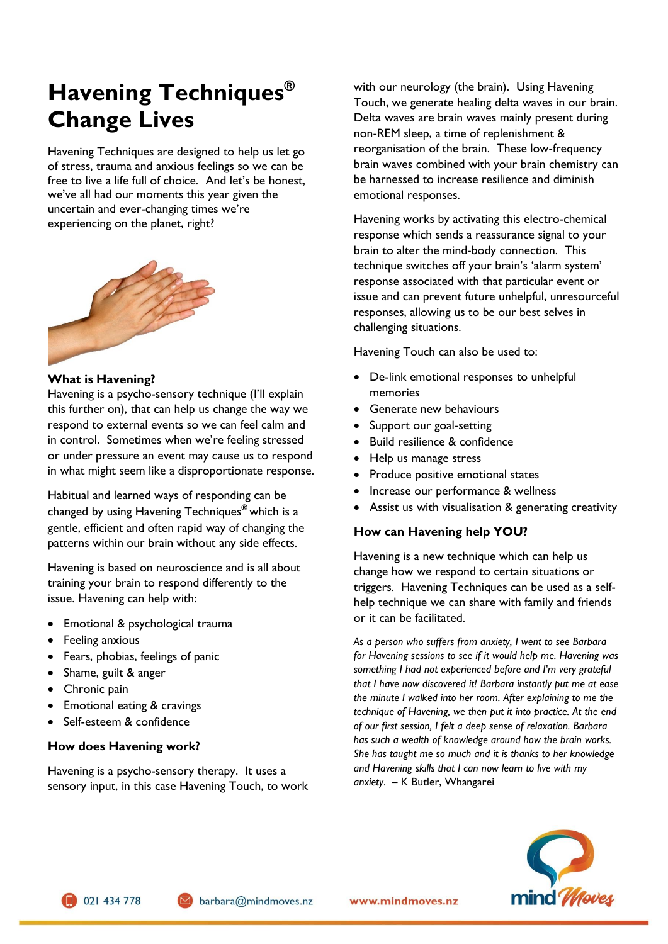# **Havening Techniques® Change Lives**

Havening Techniques are designed to help us let go of stress, trauma and anxious feelings so we can be free to live a life full of choice. And let's be honest, we've all had our moments this year given the uncertain and ever-changing times we're experiencing on the planet, right?



#### **What is Havening?**

Havening is a psycho-sensory technique (I'll explain this further on), that can help us change the way we respond to external events so we can feel calm and in control. Sometimes when we're feeling stressed or under pressure an event may cause us to respond in what might seem like a disproportionate response.

Habitual and learned ways of responding can be changed by using Havening Techniques**®** which is a gentle, efficient and often rapid way of changing the patterns within our brain without any side effects.

Havening is based on neuroscience and is all about training your brain to respond differently to the issue. Havening can help with:

- Emotional & psychological trauma
- Feeling anxious
- Fears, phobias, feelings of panic
- Shame, guilt & anger
- Chronic pain
- Emotional eating & cravings
- Self-esteem & confidence

## **How does Havening work?**

Havening is a psycho-sensory therapy. It uses a sensory input, in this case Havening Touch, to work with our neurology (the brain). Using Havening Touch, we generate healing delta waves in our brain. Delta waves are brain waves mainly present during non-REM sleep, a time of replenishment & reorganisation of the brain. These low-frequency brain waves combined with your brain chemistry can be harnessed to increase resilience and diminish emotional responses.

Havening works by activating this electro-chemical response which sends a reassurance signal to your brain to alter the mind-body connection. This technique switches off your brain's 'alarm system' response associated with that particular event or issue and can prevent future unhelpful, unresourceful responses, allowing us to be our best selves in challenging situations.

Havening Touch can also be used to:

- De-link emotional responses to unhelpful memories
- Generate new behaviours
- Support our goal-setting
- Build resilience & confidence
- Help us manage stress
- Produce positive emotional states
- Increase our performance & wellness
- Assist us with visualisation & generating creativity

## **How can Havening help YOU?**

Havening is a new technique which can help us change how we respond to certain situations or triggers. Havening Techniques can be used as a selfhelp technique we can share with family and friends or it can be facilitated.

*As a person who suffers from anxiety, I went to see Barbara for Havening sessions to see if it would help me. Havening was something I had not experienced before and I'm very grateful that I have now discovered it! Barbara instantly put me at ease the minute I walked into her room. After explaining to me the technique of Havening, we then put it into practice. At the end of our first session, I felt a deep sense of relaxation. Barbara has such a wealth of knowledge around how the brain works. She has taught me so much and it is thanks to her knowledge and Havening skills that I can now learn to live with my anxiety*. – K Butler, Whangarei



021 434 778